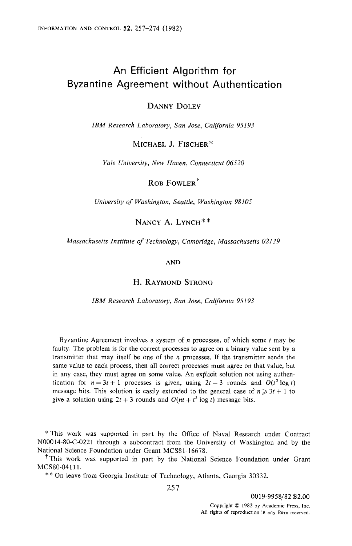# **An Efficient Algorithm for**  Byzantine Agreement without Authentication

## DANNY DOLEV

*IBM Research Laboratory, San Jose, California 95193* 

MICHAEL J. FISCHER\*

*Yale University, New Haven, Connecticut 06520* 

ROB FOWLER<sup>†</sup>

*University of Washington, Seattle, Washington 98105* 

NANCY A. LYNCH\*\*

*Massachusetts Institute of Technology, Cambridge, Massachusetts 02139* 

AND

## H. RAYMOND STRONG

#### *IBM Research Laboratory, San Jose, California 95193*

Byzantine Agreement involves a system of  $n$  processes, of which some  $t$  may be faulty. The problem is for the correct processes to agree on a binary value sent by a transmitter that may itself be one of the  $n$  processes. If the transmitter sends the same value to each process, then all correct processes must agree on that value, but in any case, they must agree on some value. An explicit solution not using authentication for  $n = 3t + 1$  processes is given, using  $2t + 3$  rounds and  $O(t^3 \log t)$ message bits. This solution is easily extended to the general case of  $n \geq 3t + 1$  to give a solution using  $2t + 3$  rounds and  $O(nt + t^3 \log t)$  message bits.

\* This work was supported in part by the Office of Naval Research under Contract N00014-80-C-0221 through a subcontract from the University of Washington and by the National Science Foundation under Grant MCS81-16678.

<sup>†</sup>This work was supported in part by the National Science Foundation under Grant MCS80-04111.

\*\* On leave from Georgia Institute of Technology, Atlanta, Georgia 30332.

257

0019-9958/82 \$2.00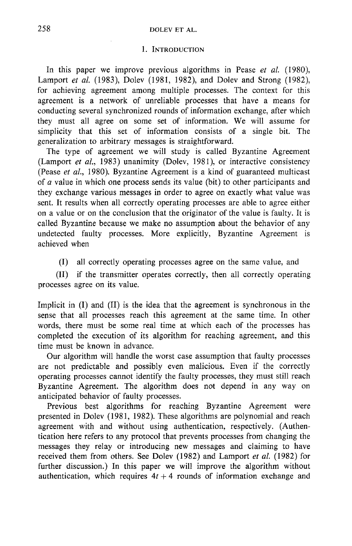# 258 DOLEY ET AL.

## 1. INTRODUCTION

In this paper we improve previous algorithms in Pease *et al.* (1980), Lamport *et al.* (1983), Dolev (1981, 1982), and Dolev and Strong (1982), for achieving agreement among multiple processes. The context for this agreement is a network of unreliable processes that have a means for conducting several synchronized rounds of information exchange, after which they must all agree on some set of information. We will assume for simplicity that this set of information consists of a single bit. The generalization to arbitrary messages is straightforward.

The type of agreement we will study is called Byzantine Agreement (Lamport *et al.,* 1983) unanimity (Dolev, 1981), or interactive consistency (Pease *et al.,* 1980). Byzantine Agreement is a kind of guaranteed multicast of a value in which one process sends its value (bit) to other participants and they exchange various messages in order to agree on exactly what value was sent. It results when all correctly operating processes are able to agree either on a value or on the conclusion that the originator of the value is faulty. It is called Byzantine because we make no assumption about the behavior of any undetected faulty processes. More explicitly, Byzantine Agreement is achieved when

(I) all correctly operating processes agree on the same value, and

(II) if the transmitter operates correctly, then all correctly operating processes agree on its value.

Implicit in (I) and (II) is the idea that the agreement is synchronous in the sense that all processes reach this agreement at the same time. In other words, there must be some real time at which each of the processes has completed the execution of its algorithm for reaching agreement, and this time must be known in advance.

Our algorithm will handle the worst case assumption that faulty processes are not predictable and possibly even malicious. Even if the correctly operating processes cannot identify the faulty processes, they must still reach Byzantine Agreement. The algorithm does not depend in any way on anticipated behavior of faulty processes.

Previous best algorithms for reaching Byzantine Agreement were presented in Dolev (1981, 1982). These algorithms are polynomial and reach agreement with and without using authentication, respectively. (Authentication here refers to any protocol that prevents processes from changing the messages they relay or introducing new messages and claiming to have received them from others. See Dolev (1982) and Lamport *et al.* (1982) for further discussion.) In this paper we will improve the algorithm without authentication, which requires  $4t + 4$  rounds of information exchange and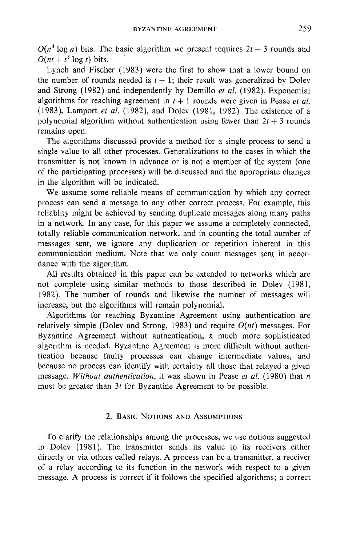$O(n^4 \log n)$  bits. The basic algorithm we present requires  $2t + 3$  rounds and  $O(nt + t^3 \log t)$  bits.

Lynch and Fischer (1983) were the first to show that a lower bound on the number of rounds needed is  $t + 1$ ; their result was generalized by Dolev and Strong (1982) and independently by Demillo *et al.* (1982). Exponential algorithms for reaching agreement in  $t + 1$  rounds were given in Pease *et al.* (1983), Lamport *et al.* (1982), and Dolev (1981, 1982). The existence of a polynomial algorithm without authentication using fewer than  $2t + 3$  rounds remains open.

The algorithms discussed provide a method for a single process to send a single value to all other processes. Generalizations to the cases in which the transmitter is not known in advance or is not a member of the system (one of the participating processes) will be discussed and the appropriate changes in the algorithm will be indicated.

We assume some reliable means of communication by which any correct process can send a message to any other correct process. For example, this reliablity might be achieved by sending duplicate messages along many paths in a network. In any case, for this paper we assume a completely connected, totally reliable communication network, and in counting the total number of messages sent, we ignore any duplication or repetition inherent in this communication medium. Note that we only count messages sent in accordance with the algorithm.

All results obtained in this paper can be extended to networks which are not complete using similar methods to those described in Dolev (1981, 1982). The number of rounds and likewise the number of messages will increase, but the algorithms will remain polynomial.

Algorithms for reaching Byzantine Agreement using authentication are relatively simple (Dolev and Strong, 1983) and require *O(nt)* messages. For Byzantine Agreement without authentication, a much more sophisticated algorithm is needed. Byzantine Agreement is more difficult without authentication because faulty processes can change intermediate values, and because no process can identify with certainty all those that relayed a given message. *Without authentication,* it was shown in Pease *et al.* (1980) that n must be greater than 3t for Byzantine Agreement to be possible.

## 2. BASIC NOTIONS AND ASSUMPTIONS

To clarify the relationships among the processes, we use notions suggested in Dolev (1981). The transmitter sends its value to its receivers either directly or via others called relays. A process can be a transmitter, a receiver of a relay according to its function in the network with respect to a given message. A process is correct if it follows the specified algorithms; a correct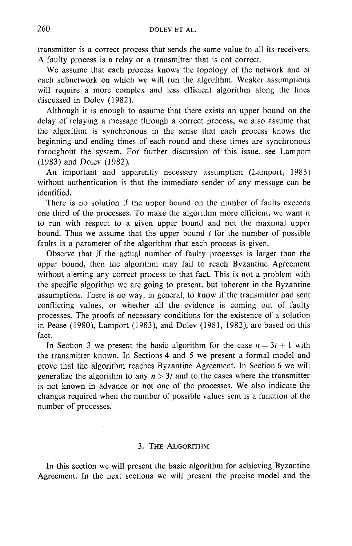transmitter is a correct process that sends the same value to all its receivers. A faulty process is a relay or a transmitter that is not correct.

We assume that each process knows the topology of the network and of each subnetwork on which we will run the algorithm. Weaker assumptions will require a more complex and less efficient algorithm along the lines discussed in Dolev (1982).

Although it is enough to assume that there exists an upper bound on the delay of relaying a message through a correct process, we also assume that the algorithm is synchronous in the sense that each process knows the beginning and ending times of each round and these times are synchronous throughout the system. For further discussion of this issue, see Lamport (1983) and Dolev (1982).

An important and apparently necessary assumption (Lamport, 1983) without authentication is that the immediate sender of any message can be identified.

There is no solution if the upper bound on the number of faults exceeds one third of the processes. To make the algorithm more efficient, we want it to run with respect to a given upper bound and not the maximal upper bound. Thus we assume that the upper bound  $t$  for the number of possible faults is a parameter of the algorithm that each process is given.

Observe that if the actual number of faulty processes is larger than the upper bound, then the algorithm may fail to reach Byzantine Agreement without alerting any correct process to that fact. This is not a problem with the specific algorithm we are going to present, but inherent in the Byzantine assumptions. There is no way, in general, to know if the transmitter had sent conflicting values, or whether all the evidence is coming out of faulty processes. The proofs of necessary conditions for the existence of a solution in Pease (1980), Lamport (1983), and Dolev (1981, 1982), are based on this fact.

In Section 3 we present the basic algorithm for the case  $n = 3t + 1$  with the transmitter known. In Sections 4 and 5 we present a formal model and prove that the algorithm reaches Byzantine Agreement. In Section 6 we will generalize the algorithm to any  $n > 3t$  and to the cases where the transmitter is not known in advance or not one of the processes. We also indicate the changes required when the number of possible values sent is a function of the number of processes.

#### 3, THE ALGORITHM

In this section we will present the basic algorithm for achieving Byzantine Agreement. In the next sections we will present the precise model and the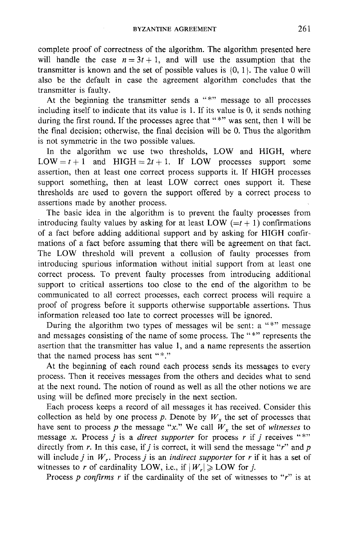complete proof of correctness of the algorithm. The algorithm presented here will handle the case  $n= 3t+1$ , and will use the assumption that the transmitter is known and the set of possible values is  $\{0, 1\}$ . The value 0 will also be the default in case the agreement algorithm concludes that the transmitter is faulty.

At the beginning the transmitter sends a "\*" message to all processes including itself to indicate that its value is 1. If its value is 0, it sends nothing during the first round. If the processes agree that "\*" was sent, then 1 will be the final decision; otherwise, the final decision will be 0. Thus the algorithm is not symmetric in the two possible values.

In the algorithm we use two thresholds, LOW and HIGH, where  $LOW = t + 1$  and  $HIGH = 2t + 1$ . If LOW processes support some assertion, then at least one correct process supports it. If HIGH processes support something, then at least LOW correct ones support it. These thresholds are used to govern the support offered by a correct process to assertions made by another process.

The basic idea in the algorithm is to prevent the faulty processes from introducing faulty values by asking for at least LOW  $(=t + 1)$  confirmations of a fact before adding additional support and by asking for HIGH confirmations of a fact before assuming that there will be agreement on that fact. The LOW threshold will prevent a collusion of faulty processes from introducing spurious information without initial support from at least one correct process. To prevent faulty processes from introducing additional support to critical assertions too close to the end of the algorithm to be communicated to all correct processes, each correct process will require a proof of progress before it supports otherwise supportable assertions. Thus information released too late to correct processes will be ignored.

During the algorithm two types of messages wil be sent: a "\*" message and messages consisting of the name of some process. The "\*" represents the asertion that the transmitter has value 1, and a name represents the assertion that the named process has sent " $*$ ."

At the beginning of each round each process sends its messages to every process. Then it receives messages from the others and decides what to send at the next round. The notion of round as well as all the other notions we are using will be defined more precisely in the next section.

Each process keeps a record of all messages it has received. Consider this collection as held by one process p. Denote by  $W<sub>x</sub>$  the set of processes that have sent to process p the message "x." We call  $W_r$  the set of *witnesses* to message x. Process *j* is a *direct supporter* for process *r* if *j* receives "\*" directly from r. In this case, if j is correct, it will send the message "r" and p will include *j* in  $W_r$ . Process *j* is an *indirect supporter* for *r* if it has a set of witnesses to r of cardinality LOW, i.e., if  $|W_r| \geqslant LOW$  for j.

Process *p confirms r* if the cardinality of the set of witnesses to "r" is at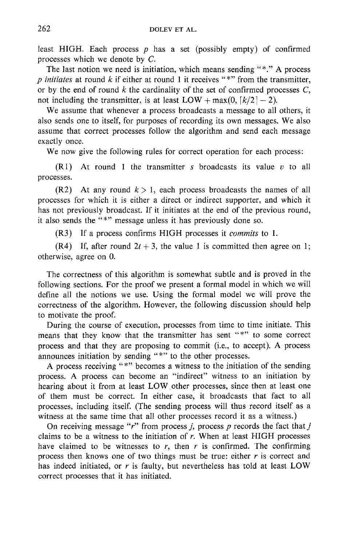least HIGH. Each process  $p$  has a set (possibly empty) of confirmed processes which we denote by C.

The last notion we need is initiation, which means sending "\*." A process *p initiates* at round k if either at round 1 it receives "\*" from the transmitter, or by the end of round  $k$  the cardinality of the set of confirmed processes  $C$ , not including the transmitter, is at least  $LOW + \max(0, \lfloor k/2 \rfloor - 2)$ .

We assume that whenever a process broadcasts a message to all others, it also sends one to itself, for purposes of recording its own messages. We also assume that correct processes follow the algorithm and send each message exactly once.

We now give the following rules for correct operation for each process:

 $(R1)$  At round 1 the transmitter s broadcasts its value v to all processes.

 $(R2)$  At any round  $k > 1$ , each process broadcasts the names of all processes for which it is either a direct or indirect supporter, and which it has not previously broadcast. If it initiates at the end of the previous round, it also sends the "\*" message unless it has previously done so.

(R3) If a process confirms HIGH processes it *commits* to 1.

 $(R4)$  If, after round  $2t + 3$ , the value 1 is committed then agree on 1; otherwise, agree on 0.

The correctness of this algorithm is somewhat subtle and is proved in the following sections. For the proof we present a formal model in which we will define all the notions we use. Using the formal model we will prove the correctness of the algorithm. However, the following discussion should help to motivate the proof.

During the course of execution, processes from time to time initiate. This means that they know that the transmitter has sent "\*" to some correct process and that they are proposing to commit (i.e., to accept). A process announces initiation by sending "\*" to the other processes.

A process receiving "\*" becomes a witness to the initiation of the sending process. A process can become an "indirect" witness to an initiation by hearing about it from at least LOW other processes, since then at least one of them must be correct. In either case, it broadcasts that fact to all processes, including itself. (The sending process will thus record itself as a witness at the same time that all other processes record it as a witness.)

On receiving message "r" from process *j*, process  $p$  records the fact that  $j$ claims to be a witness to the initiation of  $r$ . When at least HIGH processes have claimed to be witnesses to  $r$ , then  $r$  is confirmed. The confirming process then knows one of two things must be true: either  $r$  is correct and has indeed initiated, or  $r$  is faulty, but nevertheless has told at least LOW correct processes that it has initiated.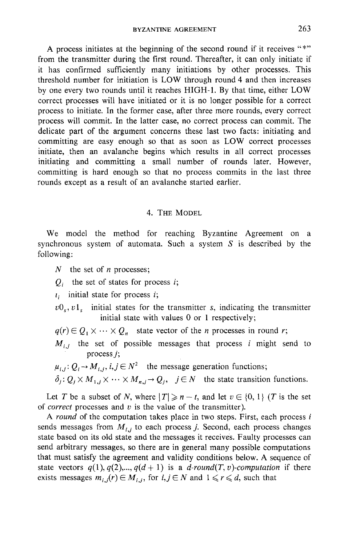A process initiates at the beginning of the second round if it receives "\*" from the transmitter during the first round. Thereafter, it can only initiate if it has confirmed sufficiently many initiations by other processes. This threshold number for initiation is LOW through round 4 and then increases by one every two rounds until it reaches HIGH-1. By that time, either LOW correct processes will have initiated or it is no longer possible for a correct process to initiate. In the former case, after three more rounds, every correct process will commit. In the latter case, no correct process can commit. The delicate part of the argument concerns these last two facts: initiating and committing are easy enough so that as soon as LOW correct processes initiate, then an avalanche begins which results in all correct processes initiating and committing a small number of rounds later. However, committing is hard enough so that no process commits in the last three rounds except as a result of an avalanche started earlier.

## 4. THE MODEL

We model the method for reaching Byzantine Agreement on a synchronous system of automata. Such a system  $S$  is described by the following:

- $N$  the set of *n* processes;
- $Q_i$  the set of states for process i;

 $t_i$  initial state for process  $i$ ;

- $v0_s$ ,  $v1_s$  initial states for the transmitter s, indicating the transmitter initial state with values 0 or 1 respectively;
- $q(r) \in Q_1 \times \cdots \times Q_n$  state vector of the *n* processes in round *r*;
- $M_{i,j}$  the set of possible messages that process i might send to process j;
- $\mu_{i,j}: Q_i \to M_{i,j}, i,j \in \mathbb{N}^2$  the message generation functions;
- $\delta_i: Q_i \times M_{1,i} \times \cdots \times M_{n,j}$   $\rightarrow Q_i$ ,  $j \in N$  the state transition functions.

Let T be a subset of N, where  $|T| \geq n-t$ , and let  $v \in \{0, 1\}$  (T is the set of *correct* processes and v is the value of the transmitter).

*A round* of the computation takes place in two steps. First, each process i sends messages from  $M_{i,j}$  to each process j. Second, each process changes state based on its old state and the messages it receives. Faulty processes can send arbitrary messages, so there are in general many possible computations that must satisfy the agreement and validity conditions below. A sequence of state vectors  $q(1), q(2),..., q(d+1)$  is a *d-round(T, v)-computation* if there exists messages  $m_{i,j}(r) \in M_{i,j}$ , for  $i, j \in N$  and  $1 \leq r \leq d$ , such that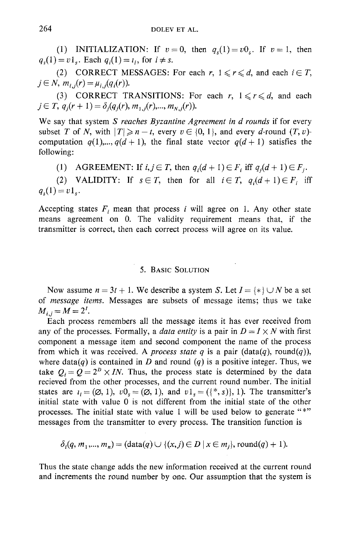(1) **INITIALIZATION:** If  $v = 0$ , then  $q<sub>s</sub>(1) = v0$ . If  $v = 1$ , then  $q_s(1) = v1_s$ . Each  $q_i(1) = i_i$ , for  $i \neq s$ .

**(2) CORRECT MESSAGES:** For each  $r, 1 \le r \le d$ , and each  $i \in T$ ,  $j \in N$ ,  $m_{i,j}(r) = \mu_{i,j}(q_i(r)).$ 

(3) CORRECT TRANSITIONS: For each r,  $1 \le r \le d$ , and each  $j \in T$ ,  $q_i(r + 1) = \delta_i(q_i(r), m_{1,i}(r),..., m_{N,i}(r)).$ 

We say that system *S reaches Byzantine Agreement in d rounds* if for every subset T of N, with  $|T| \ge n - t$ , every  $v \in \{0, 1\}$ , and every d-round  $(T, v)$ computation  $q(1),...,q(d+1)$ , the final state vector  $q(d+1)$  satisfies the following:

(1) AGREEMENT: If  $i, j \in T$ , then  $q_i(d+1) \in F_i$  iff  $q_i(d+1) \in F_i$ .

(2) VALIDITY: If  $s \in T$ , then for all  $i \in T$ ,  $q_i(d+1) \in F_i$  iff  $q_s(1)=v1_s$ .

Accepting states  $F_i$  mean that process i will agree on 1. Any other state means agreement on 0. The validity requirement means that, if the transmitter is correct, then each correct process will agree on its value.

## 5. BASIC SOLUTION

Now assume  $n = 3t + 1$ . We describe a system S. Let  $I = \{*\} \cup N$  be a set of *message items.* Messages are subsets of message items; thus we take  $M_{i,j} = M = 2^I$ .

Each process remembers all the message items it has ever received from any of the processes. Formally, a *data entity* is a pair in  $D = I \times N$  with first component a message item and second component the name of the process from which it was received. A *process state q* is a pair (data(q), round(q)), where data $(q)$  is contained in D and round  $(q)$  is a positive integer. Thus, we take  $Q_i = Q = 2^b \times IN$ . Thus, the process state is determined by the data recieved from the other processes, and the current round number. The initial states are  $i_i = (\emptyset, 1), v0_s = (\emptyset, 1),$  and  $v1_s = ({*}, s)$ , 1). The transmitter's initial state with value 0 is not different from the initial state of the other processes. The initial state with value 1 will be used below to generate "\*" messages from the transmitter to every process. The transition function is

$$
\delta_i(q, m_1, ..., m_n) = (\text{data}(q) \cup \{(x, j) \in D \mid x \in m_j\}, \text{round}(q) + 1).
$$

Thus the state change adds the new information received at the current round and increments the round number by one. Our assumption that the system is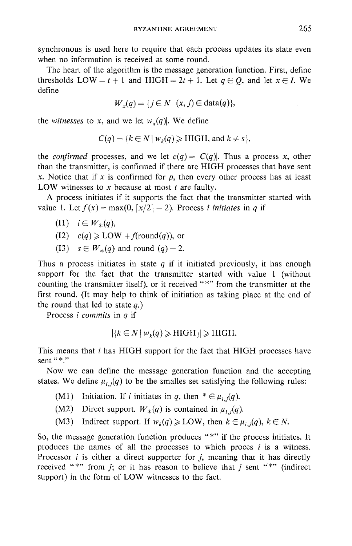synchronous is used here to require that each process updates its state even when no information is received at some round,

The heart of the algorithm is the message generation function. First, define thresholds LOW = t + 1 and HIGH =  $2t + 1$ . Let  $q \in Q$ , and let  $x \in I$ . We define

$$
W_x(q) = \{ j \in N \mid (x, j) \in \text{data}(q) \},
$$

the *witnesses* to x, and we let  $w_x(q)$ . We define

$$
C(q) = \{k \in N \mid w_k(q) \geq HIGH, \text{ and } k \neq s\},\
$$

the *confirmed* processes, and we let  $c(q) = |C(q)|$ . Thus a process x, other than the transmitter, is confirmed if there are HIGH processes that have sent x. Notice that if x is confirmed for p, then every other process has at least LOW witnesses to  $x$  because at most  $t$  are faulty.

A process initiates if it supports the fact that the transmitter started with value 1. Let  $f(x) = max(0, \lceil x/2 \rceil - 2)$ . Process *i initiates* in q if

- $(11)$   $i \in W_*(q)$ ,
- $(12)$   $c(q) \geq LOW + f$ (round(q)), or
- (I3)  $s \in W_*(q)$  and round  $(q) = 2$ .

Thus a process initiates in state  $q$  if it initiated previously, it has enough support for the fact that the transmitter started with value 1 (without counting the transmitter itself), or it received "\*" from the transmitter at the first round. (It may help to think of initiation as taking place at the end of the round that led to state  $q$ .)

Process *i commits* in q if

$$
|\{k \in N \mid w_k(q) \geq HIGH\}| \geq HIGH.
$$

This means that i has HIGH support for the fact that HIGH processes have sent "\*."

Now we can define the message generation function and the accepting states. We define  $\mu_{i,j}(q)$  to be the smalles set satisfying the following rules:

- (M1) Initiation. If *i* initiates in q, then  $* \in \mu_{i,j}(q)$ .
- (M2) Direct support.  $W_*(q)$  is contained in  $\mu_{i,j}(q)$ .
- (M3) Indirect support. If  $w_k(q) \geq 1$ OW, then  $k \in \mu_{i,j}(q)$ ,  $k \in N$ .

So, the message generation function produces "\*" if the process initiates. It produces the names of all the processes to which proces  $i$  is a witness. Processor  $i$  is either a direct supporter for  $j$ , meaning that it has directly received "\*" from  $j$ ; or it has reason to believe that  $j$  sent "\*" (indirect support) in the form of LOW witnesses to the fact.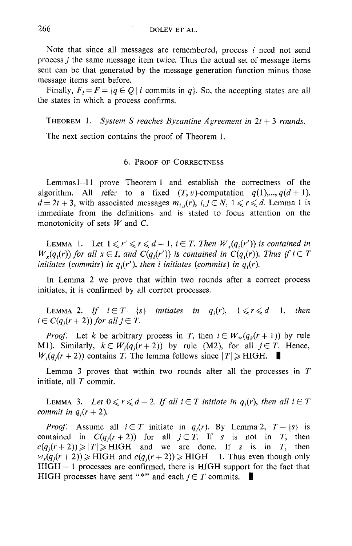Note that since all messages are remembered, process i need not send process j the same message item twice. Thus the actual set of message items sent can be that generated by the message generation function minus those message items sent before.

Finally,  $F_i = F = \{q \in Q \mid i \text{ commits in } q\}$ . So, the accepting states are all the states in which a process confirms.

THEOREM 1. *System S reaches Byzantine Agreement in*  $2t + 3$  *rounds.* 

The next section contains the proof of Theorem 1.

#### 6. PROOF OF CORRECTNESS

Lemmasl-ll prove Theorem 1 and establish the correctness of the algorithm. All refer to a fixed  $(T, v)$ -computation  $q(1)$ ,...,  $q(d+1)$ ,  $d = 2t + 3$ , with associated messages  $m_{i,j}(r)$ ,  $i, j \in N$ ,  $1 \leq r \leq d$ . Lemma 1 is immediate from the definitions and is stated to focus attention on the monotonicity of sets  $W$  and  $C$ .

LEMMA 1. Let  $1 \leq r' \leq r \leq d+1$ ,  $i \in T$ . Then  $W_r(q_i(r'))$  is contained in  $W_r(q_i(r))$  for all  $x \in I$ , and  $C(q_i(r'))$  is contained in  $C(q_i(r))$ . Thus if  $i \in T$ *initiates (commits) in*  $q_i(r')$ *, then i initiates (commits) in*  $q_i(r)$ *.* 

In Lemma 2 we prove that within two rounds after a correct process initiates, it is confirmed by all correct processes.

LEMMA 2. If  $i \in T - \{s\}$  initiates in  $q_i(r)$ ,  $1 \leq r \leq d-1$ , then  $i \in C(q_i(r + 2))$  for all  $j \in T$ .

*Proof.* Let k be arbitrary process in T, then  $i \in W_*(q_k(r+1))$  by rule M1). Similarly,  $k \in W_i(q_i(r+2))$  by rule (M2), for all  $j \in T$ . Hence,  $W_i(q_i(r + 2))$  contains T. The lemma follows since  $|T| \geq H I G H$ .

Lemma 3 proves that within two rounds after all the processes in  $T$ initiate, all  $T$  commit.

LEMMA 3. Let  $0 \leq r \leq d-2$ . If all  $i \in T$  initiate in  $q_i(r)$ , then all  $i \in T$ *commit in*  $q_i(r + 2)$ *.* 

*Proof.* Assume all  $i \in T$  initiate in  $q_i(r)$ . By Lemma 2,  $T - \{s\}$  is contained in  $C(q_i(r+2))$  for all  $j \in T$ . If s is not in T, then  $e(q_i(r+2)) \ge |T| \ge HIGH$  and we are done. If s is in T, then  $w_s(q_i(r+2)) \geq HIGH$  and  $c(q_i(r+2)) \geq HIGH - 1$ . Thus even though only  $HIGH - 1$  processes are confirmed, there is  $HIGH$  support for the fact that HIGH processes have sent "\*" and each  $j \in T$  commits.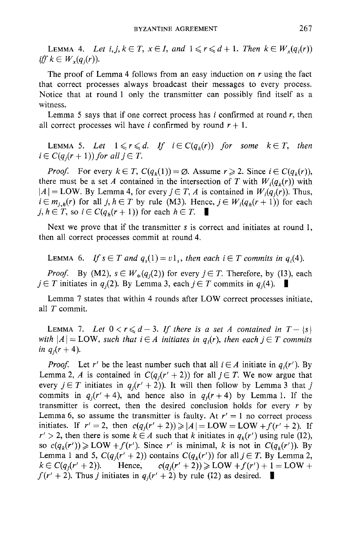LEMMA 4. Let  $i, j, k \in T$ ,  $x \in I$ , and  $1 \leq r \leq d+1$ . Then  $k \in W_r(q_i(r))$ *iff*  $k \in W_x(q_i(r))$ .

The proof of Lemma 4 follows from an easy induction on  $r$  using the fact that correct processes always broadcast their messages to every process. Notice that at round 1 only the transmitter can possibly find itself as a witness.

Lemma 5 says that if one correct process has  $i$  confirmed at round  $r$ , then all correct processes wil have i confirmed by round  $r + 1$ .

LEMMA 5. Let  $1 \leq r \leq d$ . If  $i \in C(q_i(r))$  for some  $k \in T$ , then  $i \in C(q_i(r+1))$  for all  $j \in T$ .

*Proof.* For every  $k \in T$ ,  $C(q_k(1)) = \emptyset$ . Assume  $r \ge 2$ . Since  $i \in C(q_k(r))$ , there must be a set A contained in the intersection of T with  $W_i(q_k(r))$  with  $|A| =$  LOW. By Lemma 4, for every  $j \in T$ , A is contained in  $W_i(q_i(r))$ . Thus,  $i \in m_{i,h}(r)$  for all j,  $h \in T$  by rule (M3). Hence,  $j \in W_i(q_h(r+1))$  for each j,  $h \in T$ , so  $i \in C(q_h(r+1))$  for each  $h \in T$ .

Next we prove that if the transmitter s is correct and initiates at round 1, then all correct processes commit at round 4.

LEMMA 6. If  $s \in T$  and  $q_s(1) = v1_s$ , then each  $i \in T$  commits in  $q_i(4)$ .

*Proof.* By (M2),  $s \in W_*(q_i(2))$  for every  $j \in T$ . Therefore, by (I3), each  $j \in T$  initiates in  $q_i(2)$ . By Lemma 3, each  $j \in T$  commits in  $q_i(4)$ .

Lemma 7 states that within 4 rounds after LOW correct processes initiate, all T commit.

LEMMA 7. Let  $0 < r \leq d-3$ . If there is a set A contained in  $T - \{s\}$ *with*  $|A| = LOW$ , *such that*  $i \in A$  *initiates in q<sub>i</sub>(r), then each*  $j \in T$  *commits in*  $q_i(r + 4)$ *.* 

*Proof.* Let r' be the least number such that all  $i \in A$  initiate in  $q_i(r')$ . By Lemma 2, A is contained in  $C(q_i(r'+2))$  for all  $j \in T$ . We now argue that every  $j \in T$  initiates in  $q_j(r'+2)$ ). It will then follow by Lemma 3 that j commits in  $q_i(r'+4)$ , and hence also in  $q_i(r+4)$  by Lemma 1. If the transmitter is correct, then the desired conclusion holds for every  $r$  by Lemma 6, so assume the transmitter is faulty. At  $r' = 1$  no correct process initiates. If  $r' = 2$ , then  $c(q_i(r' + 2)) \ge |A| = LOW = LOW + f(r' + 2)$ . If  $r' > 2$ , then there is some  $k \in A$  such that k initiates in  $q_k(r')$  using rule (I2), so  $c(q_k(r')) \geqslant LOW + f(r')$ . Since r' is minimal, k is not in  $C(q_k(r'))$ . By Lemma 1 and 5,  $C(q_i(r'+2))$  contains  $C(q_k(r'))$  for all  $j \in T$ . By Lemma 2,  $k \in C(q_i(r'+2))$ . Hence,  $c(q_i(r'+2)) \geqslant LOW + f(r')+1 = LOW +$  $f(r' + 2)$ . Thus *j* initiates in  $q_i(r' + 2)$  by rule (12) as desired.  $\blacksquare$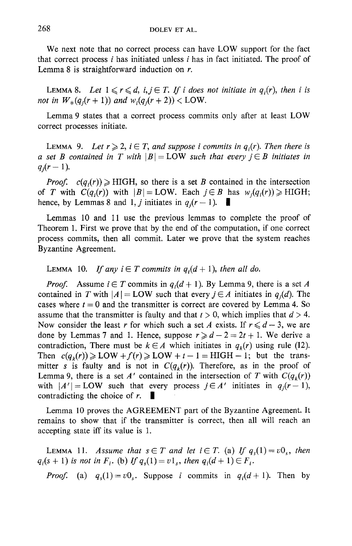We next note that no correct process can have LOW support for the fact that correct process  $i$  has initiated unless  $i$  has in fact initiated. The proof of Lemma 8 is straightforward induction on r.

LEMMA 8. Let  $1 \leq r \leq d$ ,  $i, j \in T$ . If i does not initiate in  $q_i(r)$ , then i is *not in*  $W_*(q_i(r + 1))$  *and*  $w_i(q_i(r + 2)) <$  LOW.

Lemma 9 states that a correct process commits only after at least LOW correct processes initiate.

LEMMA 9. Let  $r \geqslant 2$ ,  $i \in T$ , and suppose i commits in  $q_i(r)$ . Then there is *a* set *B* contained in *T* with  $|B| = LOW$  such that every  $j \in B$  initiates in  $q_i(r-1)$ .

*Proof.*  $c(q_i(r)) \geq HIGH$ , so there is a set B contained in the intersection of *T* with  $C(q_i(r))$  with  $|B| = LOW$ . Each  $j \in B$  has  $w_i(q_i(r)) \ge HIGH$ ; hence, by Lemmas 8 and 1, *j* initiates in  $q_i(r-1)$ .

Lemmas 10 and 11 use the previous lemmas to complete the proof of Theorem 1. First we prove that by the end of the computation, if one correct process commits, then all commit. Later we prove that the system reaches Byzantine Agreement.

LEMMA 10. *If any*  $i \in T$  commits in  $q_i(d + 1)$ , then all do.

*Proof.* Assume  $i \in T$  commits in  $q_i(d+1)$ . By Lemma 9, there is a set A contained in T with  $|A| = LOW$  such that every  $j \in A$  initiates in  $q_i(d)$ . The cases where  $t = 0$  and the transmitter is correct are covered by Lemma 4. So assume that the transmitter is faulty and that  $t > 0$ , which implies that  $d > 4$ . Now consider the least r for which such a set A exists. If  $r \le d - 3$ , we are done by Lemmas 7 and 1. Hence, suppose  $r \ge d - 2 = 2t + 1$ . We derive a contradiction, There must be  $k \in A$  which initiates in  $q_k(r)$  using rule (I2). Then  $c(q_k(r)) \ge 2$ LOW  $+f(r) \ge 2$ LOW  $+t-1$  = HIGH -1; but the transmitter s is faulty and is not in  $C(q_k(r))$ . Therefore, as in the proof of Lemma 9, there is a set A' contained in the intersection of T with  $C(q_k(r))$ with  $|A'| = LOW$  such that every process  $j \in A'$  initiates in  $q_j(r-1)$ , contradicting the choice of  $r$ .

Lemma 10 proves the AGREEMENT part of the Byzantine Agreement. It remains to show that if the transmitter is correct, then all will reach an accepting state iff its value is 1.

LEMMA 11. *Assume that*  $s \in T$  *and let*  $i \in T$ . (a) If  $q_s(1) = v0_s$ , then  $q_i(s + 1)$  *is not in*  $F_i$ . (b) If  $q_s(1) = v1_s$ , then  $q_i(d + 1) \in F_i$ .

*Proof.* (a)  $q_s(1) = v0_s$ . Suppose i commits in  $q_i(d+1)$ . Then by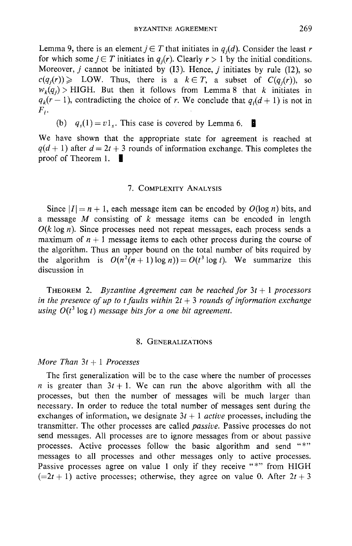Lemma 9, there is an element  $j \in T$  that initiates in  $q_j(d)$ . Consider the least r for which some  $j \in T$  initiates in  $q_i(r)$ . Clearly  $r > 1$  by the initial conditions. Moreover,  $j$  cannot be initiated by (I3). Hence,  $j$  initiates by rule (I2), so  $c(q_i(r)) \geq 1$  LOW. Thus, there is a  $k \in T$ , a subset of  $C(q_i(r))$ , so  $w_k(q_i)$  > HIGH. But then it follows from Lemma 8 that k initiates in  $q_{\nu}(r - 1)$ , contradicting the choice of r. We conclude that  $q_i(d + 1)$  is not in  $F_i$ .

(b)  $q_s(1) = v1_s$ . This case is covered by Lemma 6.

We have shown that the appropriate state for agreement is reached at  $q(d+1)$  after  $d = 2t + 3$  rounds of information exchange. This completes the proof of Theorem 1.  $\blacksquare$ 

#### 7. COMPLEXITY ANALYSIS

Since  $|I| = n + 1$ , each message item can be encoded by  $O(\log n)$  bits, and a message  $M$  consisting of  $k$  message items can be encoded in length  $O(k \log n)$ . Since processes need not repeat messages, each process sends a maximum of  $n + 1$  message items to each other process during the course of the algorithm. Thus an upper bound on the total number of bits required by the algorithm is  $O(n^2(n+1) \log n) = O(t^3 \log t)$ . We summarize this discussion in

THEOREM 2. *Byzantine Agreement can be reached for 3t + 1 processors*  in the presence of up to t faults within  $2t + 3$  rounds of information exchange *using*  $O(t^3 \log t)$  *message bits for a one bit agreement.* 

### 8. GENERALIZATIONS

## *More Than 3t + 1 Processes*

The first generalization will be to the case where the number of processes *n* is greater than  $3t + 1$ . We can run the above algorithm with all the processes, but then the number of messages will be much larger than necessary. In order to reduce the total number of messages sent during the exchanges of information, we designate  $3t + 1$  *active* processes, including the transmitter. The other processes are called *passive.* Passive processes do not send messages. All processes are to ignore messages from or about passive processes. Active processes follow the basic algorithm and send "\*" messages to all processes and other messages only to active processes. Passive processes agree on value 1 only if they receive "\*" from HIGH  $(=2t+1)$  active processes; otherwise, they agree on value 0. After  $2t+3$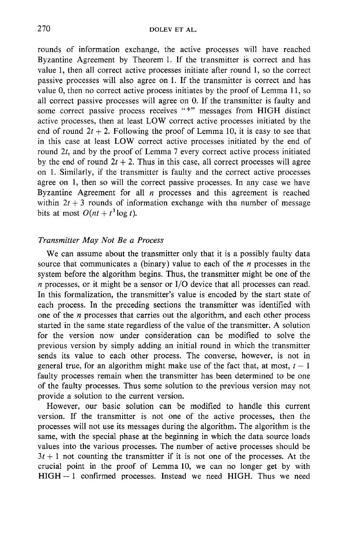rounds of information exchange, the active processes will have reached Byzantine Agreement by Theorem 1. If the transmitter is correct and has value 1, then all correct active processes initiate after round 1, so the correct passive processes will also agree on 1. If the transmitter is correct and has value 0, then no correct active process initiates by the proof of Lemma 11, so all correct passive processes will agree on 0. If the transmitter is faulty and some correct passive process receives "\*" messages from HIGH distinct active processes, then at least LOW correct active processes initiated by the end of round  $2t + 2$ . Following the proof of Lemma 10, it is easy to see that in this case at least LOW correct active processes initiated by the end of round 2t, and by the proof of Lemma 7 every correct active process initiated by the end of round  $2t + 2$ . Thus in this case, all correct processes will agree on 1. Similarly, if the transmitter is faulty and the correct active processes agree on 1, then so will the correct passive processes. In any case we have Byzantine Agreement for all  $n$  processes and this agreement is reached within  $2t + 3$  rounds of information exchange with tha number of message bits at most  $O(nt + t^3 \log t)$ .

## *Transmitter May Not Be a Process*

We can assume about the transmitter only that it is a possibly faulty data source that communicates a (binary) value to each of the  $n$  processes in the system before the algorithm begins. Thus, the transmitter might be one of the  $n$  processes, or it might be a sensor or  $I/O$  device that all processes can read. In this formalization, the transmitter's value is encoded by the start state of each process. In the preceding sections the transmitter was identified with one of the  $n$  processes that carries out the algorithm, and each other process started in the same state regardless of the value of the transmitter. A solution for the version now under consideration can be modified to solve the previous version by simply adding an initial round in which the transmitter sends its value to each other process. The converse, however, is not in general true, for an algorithm might make use of the fact that, at most,  $t - 1$ faulty processes remain when the transmitter has been determined to be one of the faulty processes. Thus some solution to the previous version may not provide a solution to the current version.

However, our basic solution can be modified to handle this current version. If the transmitter is not one of the active processes, then the processes will not use its messages during the algorithm. The algorithm is the same, with the special phase at the beginning in which the data source loads values into the various processes. The number of active processes should be  $3t + 1$  not counting the transmitter if it is not one of the processes. At the crucial point in the proof of Lemma 10, we can no longer get by with HIGH--1 confirmed processes. Instead we need HIGH. Thus we need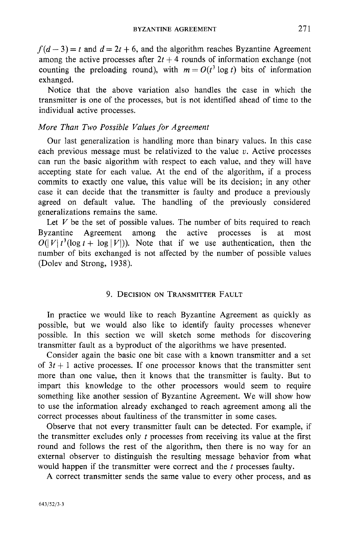$f(d-3) = t$  and  $d = 2t + 6$ , and the algorithm reaches Byzantine Agreement among the active processes after  $2t + 4$  rounds of information exchange (not counting the preloading round), with  $m = O(t^3 \log t)$  bits of information exhanged.

Notice that the above variation also handles the case in which the transmitter is one of the processes, but is not identified ahead of time to the individual active processes.

## *More Than Two Possible Values for Agreement*

Our last generalization is handling more than binary values. In this case each previous message must be relativized to the value  $v$ . Active processes can run the basic algorithm with respect to each value, and they will have accepting state for each value. At the end of the algorithm, if a process commits to exactly one value, this value will be its decision; in any other case it can decide that the transmitter is faulty and produce a previously agreed on default value. The handling of the previously considered generalizations remains the same.

Let  $V$  be the set of possible values. The number of bits required to reach Byzantine Agreement among the active processes is at most  $O(|V|t^3(\log t + \log |V|))$ . Note that if we use authentication, then the number of bits exchanged is not affected by the number of possible values (Dolev and Strong, 1938).

## 9. DECISION ON TRANSMITTER FAULT

In practice we would like to reach Byzantine Agreement as quickly as possible, but we would also like to identify faulty processes whenever possible. In this section we will sketch some methods for discovering transmitter fault as a byproduct of the algorithms we have presented.

Consider again the basic one bit case with a known transmitter and a set of  $3t + 1$  active processes. If one processor knows that the transmitter sent more than one value, then it knows that the transmitter is faulty. But to impart this knowledge to the other processors would seem to require something like another session of Byzantine Agreement. We will show how to use the information already exchanged to reach agreement among all the correct processes about faultiness of the transmitter in some cases.

Observe that not every transmitter fault can be detected. For example, if the transmitter excludes only  $t$  processes from receiving its value at the first round and follows the rest of the algorithm, then there is no way for an external observer to distinguish the resulting message behavior from what would happen if the transmitter were correct and the *t* processes faulty.

A correct transmitter sends the same value to every other process, and as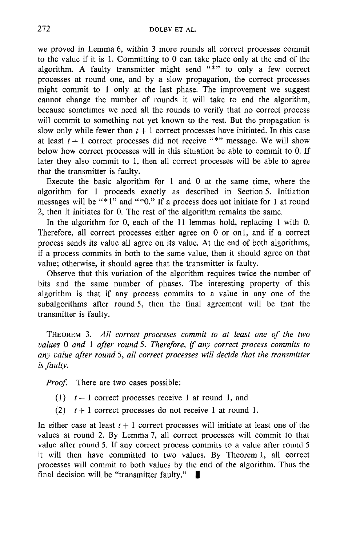we proved in Lemma 6, within 3 more rounds all correct processes commit to the value if it is 1. Committing to 0 can take place only at the end of the algorithm. A faulty transmitter might send "\*" to only a few correct processes at round one, and by a slow propagation, the correct processes might commit to 1 only at the last phase. The improvement we suggest cannot change the number of rounds it will take to end the algorithm, because sometimes we need all the rounds to verify that no correct process will commit to something not yet known to the rest. But the propagation is slow only while fewer than  $t + 1$  correct processes have initiated. In this case at least  $t + 1$  correct processes did not receive "\*" message. We will show below how correct processes will in this situation be able to commit to 0. If later they also commit to 1, then all correct processes will be able to agree that the transmitter is faulty.

Execute the basic algorithm for  $1$  and  $0$  at the same time, where the algorithm for 1 proceeds exactly as described in Section 5. Initiation messages will be "\*1" and "\*0." If a process does not initiate for 1 at round 2, then it initiates for 0. The rest of the algorithm remains the same.

In the algorithm for 0, each of the 11 lemmas hold, replacing 1 with 0. Therefore, all correct processes either agree on 0 or onl, and if a correct process sends its value all agree on its value. At the end of both algorithms, if a process commits in both to the same value, then it should agree on that value; otherwise, it should agree that the transmitter is faulty.

Observe that this variation of the algorithm requires twice the number of bits and the same number of phases. The interesting property of this algorithm is that if any process commits to a value in any one of the subalgorithms after round 5, then the final agreement will be that the transmitter is faulty.

THEOREM 3. *All correct processes commit to at least one of the two values 0 and 1 after round 5. Therefore, if any correct process commits to any value after round* 5, *all correct processes will decide that the transmitter is faulty.* 

*Proof.* There are two cases possible:

- (1)  $t + 1$  correct processes receive 1 at round 1, and
- (2)  $t + 1$  correct processes do not receive 1 at round 1.

In either case at least  $t + 1$  correct processes will initiate at least one of the values at round 2. By Lemma 7, all correct processes will commit to that value after round 5. If any correct process commits to a value after round 5 it will then have committed to two values. By Theorem 1, all correct processes will commit to both values by the end of the algorithm. Thus the final decision will be "transmitter faulty."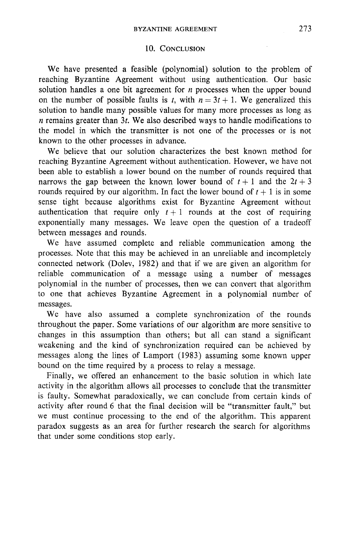## 10. CONCLUSION

We have presented a feasible (polynomial) solution to the problem of reaching Byzantine Agreement without using authentication. Our basic solution handles a one bit agreement for  $n$  processes when the upper bound on the number of possible faults is t, with  $n = 3t + 1$ . We generalized this solution to handle many possible values for many more processes as long as  $n$  remains greater than 3t. We also described ways to handle modifications to the model in which the transmitter is not one of the processes or is not known to the other processes in advance.

We believe that our solution characterizes the best known method for reaching Byzantine Agreement without authentication. However, we have not been able to establish a lower bound on the number of rounds required that narrows the gap between the known lower bound of  $t + 1$  and the  $2t + 3$ rounds required by our algorithm. In fact the lower bound of  $t + 1$  is in some sense tight because algorithms exist for Byzantine Agreement without authentication that require only  $t+1$  rounds at the cost of requiring exponentially many messages. We leave open the question of a tradeoff between messages and rounds.

We have assumed complete and reliable communication among the processes. Note that this may be achieved in an unreliable and incompletely connected network (Dolev, 1982) and that if we are given an algorithm for reliable communication of a message using a number of messages polynomial in the number of processes, then we can convert that algorithm to one that achieves Byzantine Agreement in a polynomial number of messages.

We have also assumed a complete synchronization of the rounds throughout the paper. Some variations of our algorithm are more sensitive to changes in this assumption than others; but all can stand a significant weakening and the kind of synchronization required can be achieved by messages along the lines of Lamport (1983) assuming some known upper bound on the time required by a process to relay a message.

Finally, we offered an enhancement to the basic solution in which late activity in the algorithm allows all processes to conclude that the transmitter is faulty. Somewhat paradoxically, we can conclude from certain kinds of activity after round 6 that the final decision will be "transmitter fault," but we must continue processing to the end of the algorithm. This apparent paradox suggests as an area for further research the search for algorithms that under some conditions stop early.